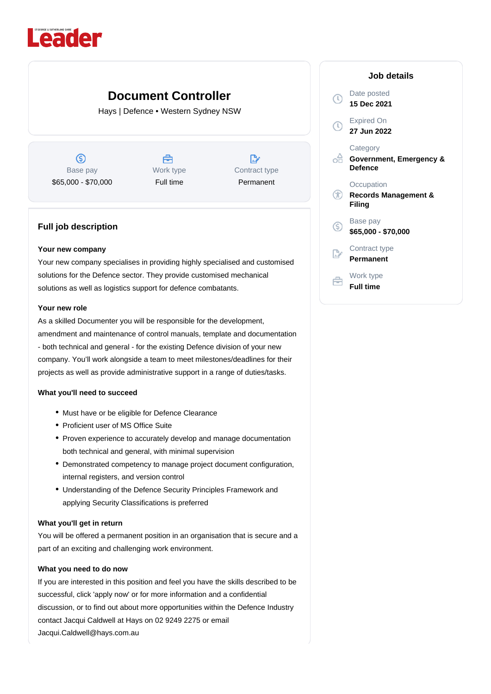

# **Document Controller**

Hays | Defence • Western Sydney NSW

 $\circledS$ Base pay \$65,000 - \$70,000

曲 Work type Full time

 $\mathbb{R}^*$ Contract type Permanent

## **Full job description**

#### **Your new company**

Your new company specialises in providing highly specialised and customised solutions for the Defence sector. They provide customised mechanical solutions as well as logistics support for defence combatants.

### **Your new role**

As a skilled Documenter you will be responsible for the development, amendment and maintenance of control manuals, template and documentation - both technical and general - for the existing Defence division of your new company. You'll work alongside a team to meet milestones/deadlines for their projects as well as provide administrative support in a range of duties/tasks.

### **What you'll need to succeed**

- Must have or be eligible for Defence Clearance
- Proficient user of MS Office Suite
- Proven experience to accurately develop and manage documentation both technical and general, with minimal supervision
- Demonstrated competency to manage project document configuration, internal registers, and version control
- Understanding of the Defence Security Principles Framework and applying Security Classifications is preferred

### **What you'll get in return**

You will be offered a permanent position in an organisation that is secure and a part of an exciting and challenging work environment.

### **What you need to do now**

If you are interested in this position and feel you have the skills described to be successful, click 'apply now' or for more information and a confidential discussion, or to find out about more opportunities within the Defence Industry contact Jacqui Caldwell at Hays on 02 9249 2275 or email Jacqui.Caldwell@hays.com.au

| Job details                                             |
|---------------------------------------------------------|
| Date posted<br>15 Dec 2021                              |
| Expired On<br>27 Jun 2022                               |
| Category<br>Government, Emergency &<br>Defence          |
| Occupation<br><b>Records Management &amp;</b><br>Filing |
| Base pay<br>\$65,000 - \$70,000                         |
| Contract type<br>Permanent                              |
| Work type<br>Full time                                  |

 $\mathbb O$ 

 $\Omega$ 

оA

®

 $\circledS$ 

 $\mathbb{R}^{\cdot}$